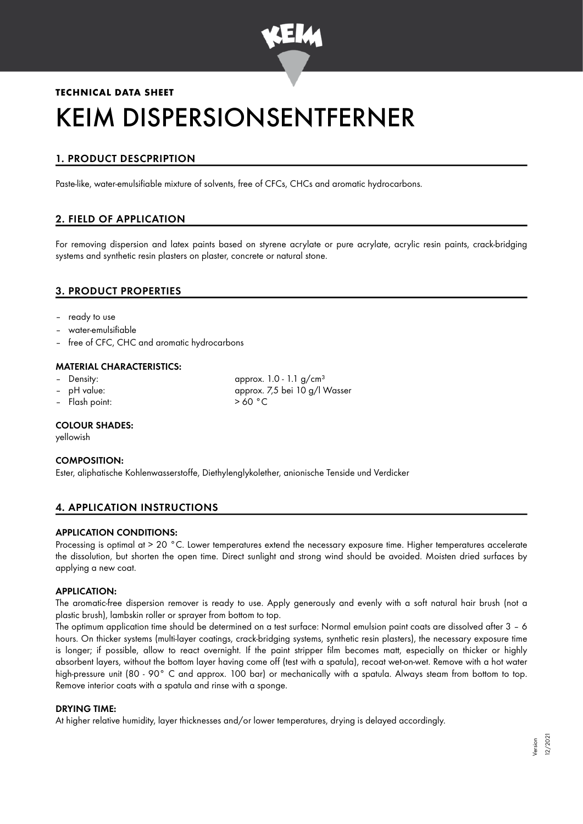

# **TECHNICAL DATA SHEET** KEIM DISPERSIONSENTFERNER

## 1. PRODUCT DESCPRIPTION

Paste-like, water-emulsifiable mixture of solvents, free of CFCs, CHCs and aromatic hydrocarbons.

## 2. FIELD OF APPLICATION

For removing dispersion and latex paints based on styrene acrylate or pure acrylate, acrylic resin paints, crack-bridging systems and synthetic resin plasters on plaster, concrete or natural stone.

### 3. PRODUCT PROPERTIES

- ready to use
- water-emulsifiable
- free of CFC, CHC and aromatic hydrocarbons

#### MATERIAL CHARACTERISTICS:

- 
- 
- Flash point:  $> 60 °C$

Density:  $\qquad \qquad \text{approx. 1.0 - 1.1 g/cm<sup>3</sup>}$ – pH value: approx. 7,5 bei 10 g/l Wasser

#### COLOUR SHADES:

yellowish

#### COMPOSITION:

Ester, aliphatische Kohlenwasserstoffe, Diethylenglykolether, anionische Tenside und Verdicker

#### 4. APPLICATION INSTRUCTIONS

#### APPLICATION CONDITIONS:

Processing is optimal at > 20 °C. Lower temperatures extend the necessary exposure time. Higher temperatures accelerate the dissolution, but shorten the open time. Direct sunlight and strong wind should be avoided. Moisten dried surfaces by applying a new coat.

#### APPLICATION:

The aromatic-free dispersion remover is ready to use. Apply generously and evenly with a soft natural hair brush (not a plastic brush), lambskin roller or sprayer from bottom to top.

The optimum application time should be determined on a test surface: Normal emulsion paint coats are dissolved after 3 – 6 hours. On thicker systems (multi-layer coatings, crack-bridging systems, synthetic resin plasters), the necessary exposure time is longer; if possible, allow to react overnight. If the paint stripper film becomes matt, especially on thicker or highly absorbent layers, without the bottom layer having come off (test with a spatula), recoat wet-on-wet. Remove with a hot water high-pressure unit (80 - 90° C and approx. 100 bar) or mechanically with a spatula. Always steam from bottom to top. Remove interior coats with a spatula and rinse with a sponge.

#### DRYING TIME:

At higher relative humidity, layer thicknesses and/or lower temperatures, drying is delayed accordingly.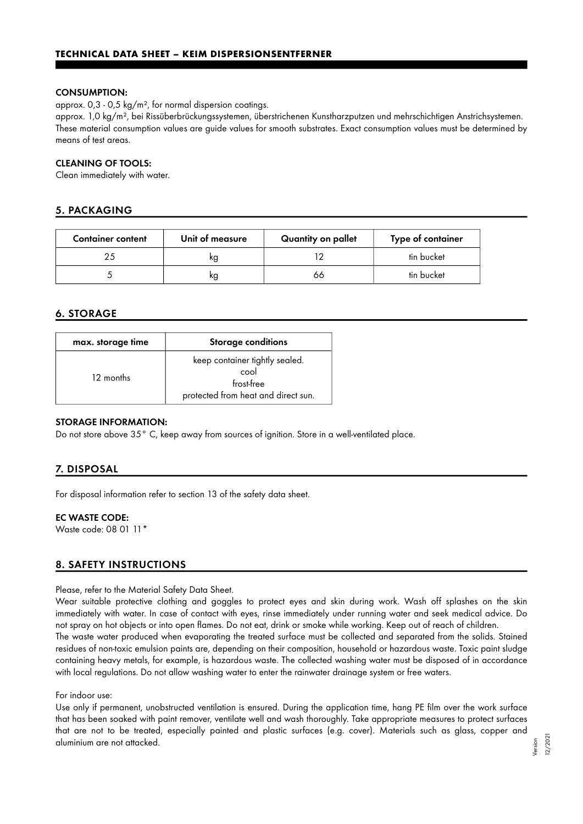#### CONSUMPTION:

approx. 0,3 - 0,5 kg/m², for normal dispersion coatings.

approx. 1,0 kg/m², bei Rissüberbrückungssystemen, überstrichenen Kunstharzputzen und mehrschichtigen Anstrichsystemen. These material consumption values are guide values for smooth substrates. Exact consumption values must be determined by means of test areas.

#### CLEANING OF TOOLS:

Clean immediately with water.

#### 5. PACKAGING

| <b>Container content</b> | Unit of measure | Quantity on pallet | Type of container |
|--------------------------|-----------------|--------------------|-------------------|
|                          | ĸg              |                    | tin bucket        |
|                          | ĸg              | 66                 | tin bucket        |

#### 6. STORAGE

| max. storage time | Storage conditions                                                                          |
|-------------------|---------------------------------------------------------------------------------------------|
| 12 months         | keep container tightly sealed.<br>cool<br>frost-free<br>protected from heat and direct sun. |

#### STORAGE INFORMATION:

Do not store above 35° C, keep away from sources of ignition. Store in a well-ventilated place.

#### 7. DISPOSAL

For disposal information refer to section 13 of the safety data sheet.

#### EC WASTE CODE:

Waste code: 08 01 11\*

#### 8. SAFETY INSTRUCTIONS

#### Please, refer to the Material Safety Data Sheet.

Wear suitable protective clothing and goggles to protect eyes and skin during work. Wash off splashes on the skin immediately with water. In case of contact with eyes, rinse immediately under running water and seek medical advice. Do not spray on hot objects or into open flames. Do not eat, drink or smoke while working. Keep out of reach of children. The waste water produced when evaporating the treated surface must be collected and separated from the solids. Stained residues of non-toxic emulsion paints are, depending on their composition, household or hazardous waste. Toxic paint sludge containing heavy metals, for example, is hazardous waste. The collected washing water must be disposed of in accordance with local regulations. Do not allow washing water to enter the rainwater drainage system or free waters.

#### For indoor use:

Use only if permanent, unobstructed ventilation is ensured. During the application time, hang PE film over the work surface that has been soaked with paint remover, ventilate well and wash thoroughly. Take appropriate measures to protect surfaces that are not to be treated, especially painted and plastic surfaces (e.g. cover). Materials such as glass, copper and aluminium are not attacked.